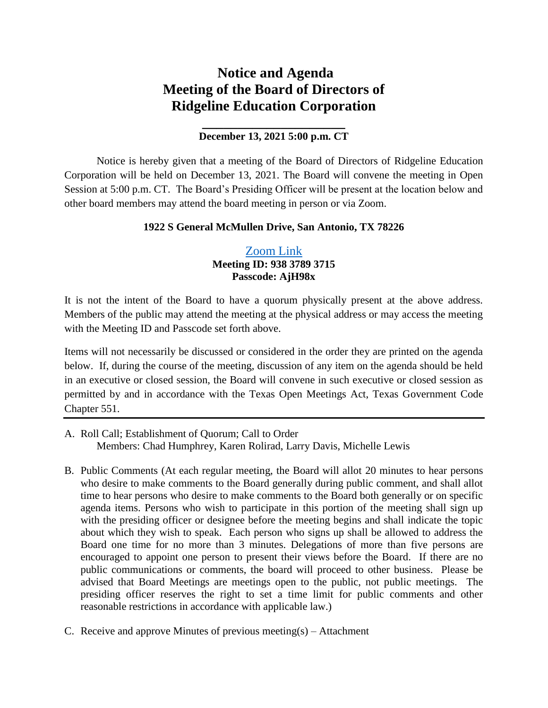# **Notice and Agenda Meeting of the Board of Directors of Ridgeline Education Corporation**

## **\_\_\_\_\_\_\_\_\_\_\_\_\_\_\_\_\_\_\_\_ December 13, 2021 5:00 p.m. CT**

Notice is hereby given that a meeting of the Board of Directors of Ridgeline Education Corporation will be held on December 13, 2021. The Board will convene the meeting in Open Session at 5:00 p.m. CT. The Board's Presiding Officer will be present at the location below and other board members may attend the board meeting in person or via Zoom.

### **1922 S General McMullen Drive, San Antonio, TX 78226**

## [Zoom Link](https://zoom.us/j/93837893715?pwd=RGJieWlFMHE5YU84T3IzQVo4QlhjZz09) **Meeting ID: 938 3789 3715 Passcode: AjH98x**

It is not the intent of the Board to have a quorum physically present at the above address. Members of the public may attend the meeting at the physical address or may access the meeting with the Meeting ID and Passcode set forth above.

Items will not necessarily be discussed or considered in the order they are printed on the agenda below. If, during the course of the meeting, discussion of any item on the agenda should be held in an executive or closed session, the Board will convene in such executive or closed session as permitted by and in accordance with the Texas Open Meetings Act, Texas Government Code Chapter 551.

- A. Roll Call; Establishment of Quorum; Call to Order Members: Chad Humphrey, Karen Rolirad, Larry Davis, Michelle Lewis
- B. Public Comments (At each regular meeting, the Board will allot 20 minutes to hear persons who desire to make comments to the Board generally during public comment, and shall allot time to hear persons who desire to make comments to the Board both generally or on specific agenda items. Persons who wish to participate in this portion of the meeting shall sign up with the presiding officer or designee before the meeting begins and shall indicate the topic about which they wish to speak. Each person who signs up shall be allowed to address the Board one time for no more than 3 minutes. Delegations of more than five persons are encouraged to appoint one person to present their views before the Board. If there are no public communications or comments, the board will proceed to other business. Please be advised that Board Meetings are meetings open to the public, not public meetings. The presiding officer reserves the right to set a time limit for public comments and other reasonable restrictions in accordance with applicable law.)
- C. Receive and approve Minutes of previous meeting(s) Attachment